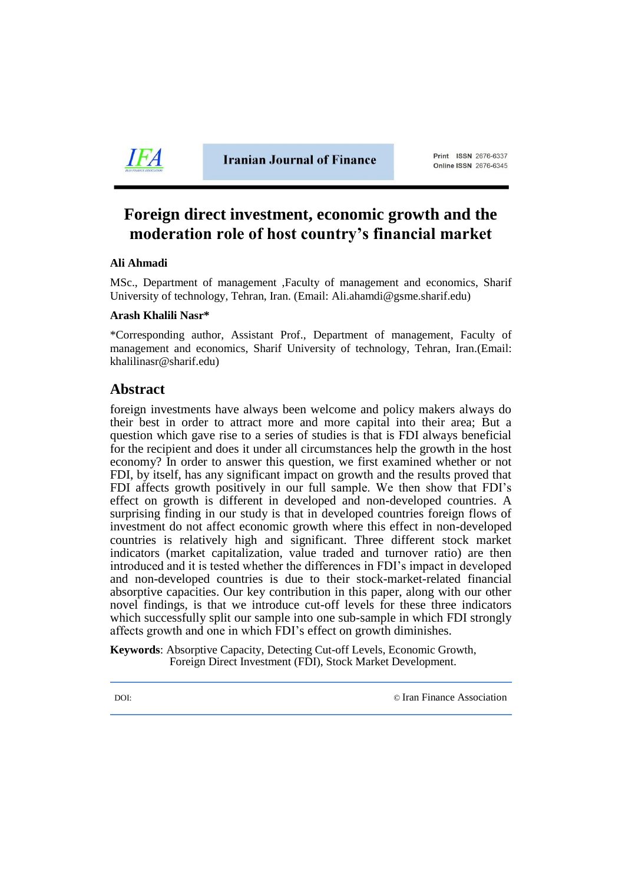

**Iranian Journal of Finance** 

Print ISSN 2676-6337 **Online ISSN 2676-6345** 

# **Foreign direct investment, economic growth and the moderation role of host country's financial market**

## **Ali Ahmadi**

MSc., Department of management ,Faculty of management and economics, Sharif University of technology, Tehran, Iran. (Email: Ali.ahamdi@gsme.sharif.edu)

#### **Arash Khalili Nasr\***

\*Corresponding author, Assistant Prof., Department of management, Faculty of management and economics, Sharif University of technology, Tehran, Iran.(Email: [khalilinasr@sharif.edu\)](mailto:khalilinasr@sharif.edu)

## **Abstract**

foreign investments have always been welcome and policy makers always do their best in order to attract more and more capital into their area; But a question which gave rise to a series of studies is that is FDI always beneficial for the recipient and does it under all circumstances help the growth in the host economy? In order to answer this question, we first examined whether or not FDI, by itself, has any significant impact on growth and the results proved that FDI affects growth positively in our full sample. We then show that FDI's effect on growth is different in developed and non-developed countries. A surprising finding in our study is that in developed countries foreign flows of investment do not affect economic growth where this effect in non-developed countries is relatively high and significant. Three different stock market indicators (market capitalization, value traded and turnover ratio) are then introduced and it is tested whether the differences in FDI's impact in developed and non-developed countries is due to their stock-market-related financial absorptive capacities. Our key contribution in this paper, along with our other novel findings, is that we introduce cut-off levels for these three indicators which successfully split our sample into one sub-sample in which FDI strongly affects growth and one in which FDI's effect on growth diminishes.

**Keywords**: Absorptive Capacity, Detecting Cut-off Levels, Economic Growth, Foreign Direct Investment (FDI), Stock Market Development.

DOI: © [Iran Finance Association](http://ifsa.org.ir/)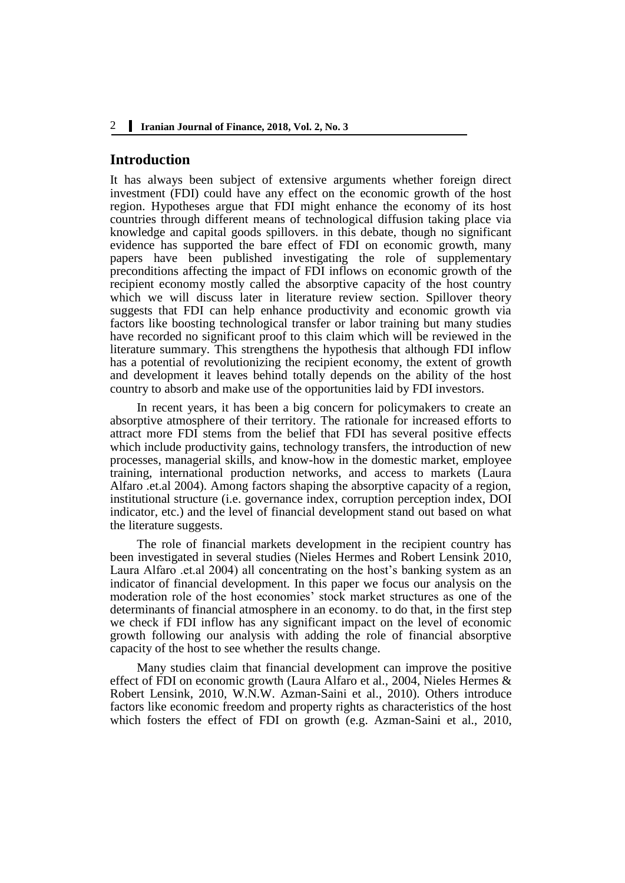## **Introduction**

It has always been subject of extensive arguments whether foreign direct investment (FDI) could have any effect on the economic growth of the host region. Hypotheses argue that FDI might enhance the economy of its host countries through different means of technological diffusion taking place via knowledge and capital goods spillovers. in this debate, though no significant evidence has supported the bare effect of FDI on economic growth, many papers have been published investigating the role of supplementary preconditions affecting the impact of FDI inflows on economic growth of the recipient economy mostly called the absorptive capacity of the host country which we will discuss later in literature review section. Spillover theory suggests that FDI can help enhance productivity and economic growth via factors like boosting technological transfer or labor training but many studies have recorded no significant proof to this claim which will be reviewed in the literature summary. This strengthens the hypothesis that although FDI inflow has a potential of revolutionizing the recipient economy, the extent of growth and development it leaves behind totally depends on the ability of the host country to absorb and make use of the opportunities laid by FDI investors.

In recent years, it has been a big concern for policymakers to create an absorptive atmosphere of their territory. The rationale for increased efforts to attract more FDI stems from the belief that FDI has several positive effects which include productivity gains, technology transfers, the introduction of new processes, managerial skills, and know-how in the domestic market, employee training, international production networks, and access to markets (Laura Alfaro .et.al 2004). Among factors shaping the absorptive capacity of a region, institutional structure (i.e. governance index, corruption perception index, DOI indicator, etc.) and the level of financial development stand out based on what the literature suggests.

The role of financial markets development in the recipient country has been investigated in several studies (Nieles Hermes and Robert Lensink 2010, Laura Alfaro .et.al 2004) all concentrating on the host's banking system as an indicator of financial development. In this paper we focus our analysis on the moderation role of the host economies' stock market structures as one of the determinants of financial atmosphere in an economy. to do that, in the first step we check if FDI inflow has any significant impact on the level of economic growth following our analysis with adding the role of financial absorptive capacity of the host to see whether the results change.

Many studies claim that financial development can improve the positive effect of FDI on economic growth (Laura Alfaro et al., 2004, Nieles Hermes & Robert Lensink, 2010, W.N.W. Azman-Saini et al., 2010). Others introduce factors like economic freedom and property rights as characteristics of the host which fosters the effect of FDI on growth (e.g. Azman-Saini et al., 2010,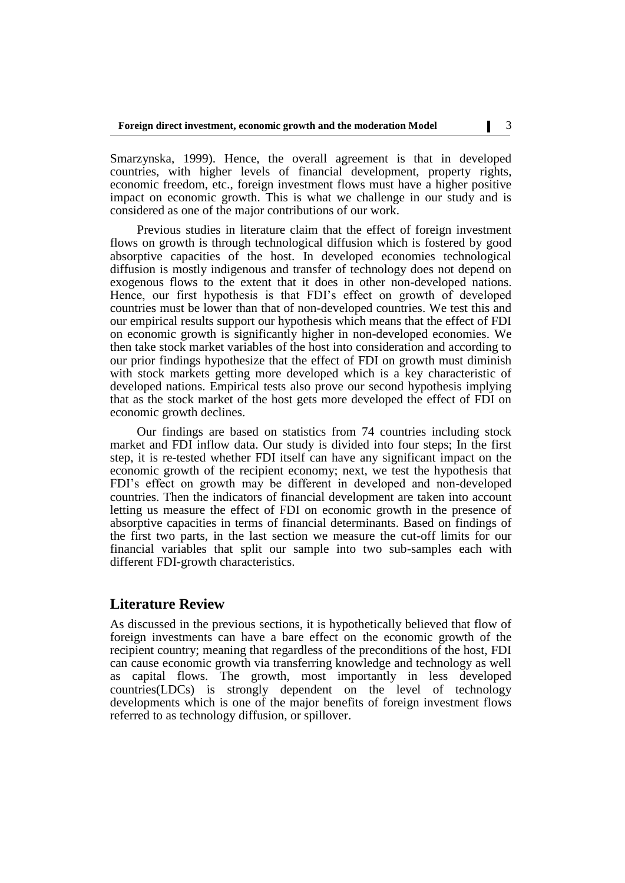Smarzynska, 1999). Hence, the overall agreement is that in developed countries, with higher levels of financial development, property rights, economic freedom, etc., foreign investment flows must have a higher positive impact on economic growth. This is what we challenge in our study and is considered as one of the major contributions of our work.

Previous studies in literature claim that the effect of foreign investment flows on growth is through technological diffusion which is fostered by good absorptive capacities of the host. In developed economies technological diffusion is mostly indigenous and transfer of technology does not depend on exogenous flows to the extent that it does in other non-developed nations. Hence, our first hypothesis is that FDI's effect on growth of developed countries must be lower than that of non-developed countries. We test this and our empirical results support our hypothesis which means that the effect of FDI on economic growth is significantly higher in non-developed economies. We then take stock market variables of the host into consideration and according to our prior findings hypothesize that the effect of FDI on growth must diminish with stock markets getting more developed which is a key characteristic of developed nations. Empirical tests also prove our second hypothesis implying that as the stock market of the host gets more developed the effect of FDI on economic growth declines.

Our findings are based on statistics from 74 countries including stock market and FDI inflow data. Our study is divided into four steps; In the first step, it is re-tested whether FDI itself can have any significant impact on the economic growth of the recipient economy; next, we test the hypothesis that FDI's effect on growth may be different in developed and non-developed countries. Then the indicators of financial development are taken into account letting us measure the effect of FDI on economic growth in the presence of absorptive capacities in terms of financial determinants. Based on findings of the first two parts, in the last section we measure the cut-off limits for our financial variables that split our sample into two sub-samples each with different FDI-growth characteristics.

## **Literature Review**

As discussed in the previous sections, it is hypothetically believed that flow of foreign investments can have a bare effect on the economic growth of the recipient country; meaning that regardless of the preconditions of the host, FDI can cause economic growth via transferring knowledge and technology as well as capital flows. The growth, most importantly in less developed countries(LDCs) is strongly dependent on the level of technology developments which is one of the major benefits of foreign investment flows referred to as technology diffusion, or spillover.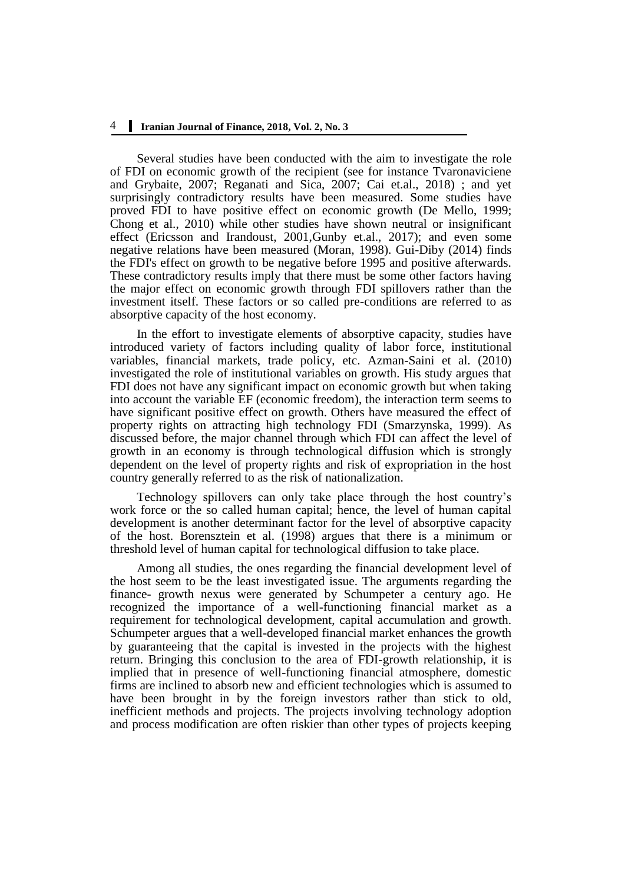Several studies have been conducted with the aim to investigate the role of FDI on economic growth of the recipient (see for instance Tvaronaviciene and Grybaite, 2007; Reganati and Sica, 2007; Cai et.al., 2018) ; and yet surprisingly contradictory results have been measured. Some studies have proved FDI to have positive effect on economic growth (De Mello, 1999; Chong et al., 2010) while other studies have shown neutral or insignificant effect (Ericsson and Irandoust, 2001,Gunby et.al., 2017); and even some negative relations have been measured (Moran, 1998). Gui-Diby (2014) finds the FDI's effect on growth to be negative before 1995 and positive afterwards. These contradictory results imply that there must be some other factors having the major effect on economic growth through FDI spillovers rather than the investment itself. These factors or so called pre-conditions are referred to as absorptive capacity of the host economy.

In the effort to investigate elements of absorptive capacity, studies have introduced variety of factors including quality of labor force, institutional variables, financial markets, trade policy, etc. Azman-Saini et al. (2010) investigated the role of institutional variables on growth. His study argues that FDI does not have any significant impact on economic growth but when taking into account the variable EF (economic freedom), the interaction term seems to have significant positive effect on growth. Others have measured the effect of property rights on attracting high technology FDI (Smarzynska, 1999). As discussed before, the major channel through which FDI can affect the level of growth in an economy is through technological diffusion which is strongly dependent on the level of property rights and risk of expropriation in the host country generally referred to as the risk of nationalization.

Technology spillovers can only take place through the host country's work force or the so called human capital; hence, the level of human capital development is another determinant factor for the level of absorptive capacity of the host. Borensztein et al. (1998) argues that there is a minimum or threshold level of human capital for technological diffusion to take place.

Among all studies, the ones regarding the financial development level of the host seem to be the least investigated issue. The arguments regarding the finance- growth nexus were generated by Schumpeter a century ago. He recognized the importance of a well-functioning financial market as a requirement for technological development, capital accumulation and growth. Schumpeter argues that a well-developed financial market enhances the growth by guaranteeing that the capital is invested in the projects with the highest return. Bringing this conclusion to the area of FDI-growth relationship, it is implied that in presence of well-functioning financial atmosphere, domestic firms are inclined to absorb new and efficient technologies which is assumed to have been brought in by the foreign investors rather than stick to old, inefficient methods and projects. The projects involving technology adoption and process modification are often riskier than other types of projects keeping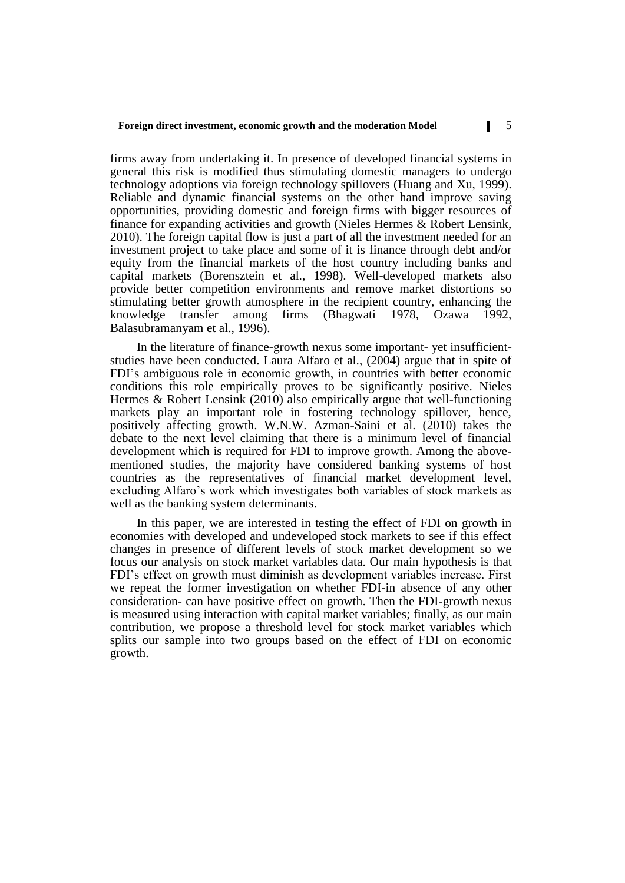firms away from undertaking it. In presence of developed financial systems in general this risk is modified thus stimulating domestic managers to undergo technology adoptions via foreign technology spillovers (Huang and Xu, 1999). Reliable and dynamic financial systems on the other hand improve saving opportunities, providing domestic and foreign firms with bigger resources of finance for expanding activities and growth (Nieles Hermes & Robert Lensink, 2010). The foreign capital flow is just a part of all the investment needed for an investment project to take place and some of it is finance through debt and/or equity from the financial markets of the host country including banks and capital markets (Borensztein et al., 1998). Well-developed markets also provide better competition environments and remove market distortions so stimulating better growth atmosphere in the recipient country, enhancing the knowledge transfer among firms (Bhagwati 1978, Ozawa 1992, knowledge transfer among Balasubramanyam et al., 1996).

In the literature of finance-growth nexus some important- yet insufficientstudies have been conducted. Laura Alfaro et al., (2004) argue that in spite of FDI's ambiguous role in economic growth, in countries with better economic conditions this role empirically proves to be significantly positive. Nieles Hermes & Robert Lensink (2010) also empirically argue that well-functioning markets play an important role in fostering technology spillover, hence, positively affecting growth. W.N.W. Azman-Saini et al. (2010) takes the debate to the next level claiming that there is a minimum level of financial development which is required for FDI to improve growth. Among the abovementioned studies, the majority have considered banking systems of host countries as the representatives of financial market development level, excluding Alfaro's work which investigates both variables of stock markets as well as the banking system determinants.

In this paper, we are interested in testing the effect of FDI on growth in economies with developed and undeveloped stock markets to see if this effect changes in presence of different levels of stock market development so we focus our analysis on stock market variables data. Our main hypothesis is that FDI's effect on growth must diminish as development variables increase. First we repeat the former investigation on whether FDI-in absence of any other consideration- can have positive effect on growth. Then the FDI-growth nexus is measured using interaction with capital market variables; finally, as our main contribution, we propose a threshold level for stock market variables which splits our sample into two groups based on the effect of FDI on economic growth.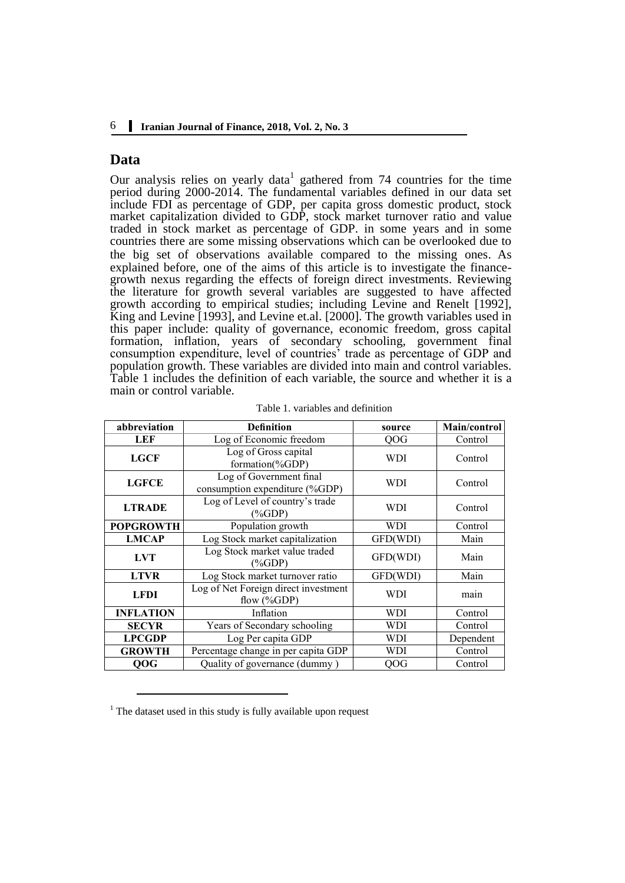#### 6 **Iranian Journal of Finance, 2018, Vol. 2, No. 3**

## **Data**

Our analysis relies on yearly data<sup>1</sup> gathered from  $74$  countries for the time period during 2000-2014. The fundamental variables defined in our data set include FDI as percentage of GDP, per capita gross domestic product, stock market capitalization divided to GDP, stock market turnover ratio and value traded in stock market as percentage of GDP. in some years and in some countries there are some missing observations which can be overlooked due to the big set of observations available compared to the missing ones. As explained before, one of the aims of this article is to investigate the financegrowth nexus regarding the effects of foreign direct investments. Reviewing the literature for growth several variables are suggested to have affected growth according to empirical studies; including Levine and Renelt [1992], King and Levine [1993], and Levine et.al. [2000]. The growth variables used in this paper include: quality of governance, economic freedom, gross capital formation, inflation, years of secondary schooling, government final consumption expenditure, level of countries' trade as percentage of GDP and population growth. These variables are divided into main and control variables. Table 1 includes the definition of each variable, the source and whether it is a main or control variable.

| abbreviation     | <b>Definition</b>                                         | source     | Main/control |  |  |
|------------------|-----------------------------------------------------------|------------|--------------|--|--|
| LEF              | Log of Economic freedom                                   | <b>OOG</b> | Control      |  |  |
| <b>LGCF</b>      | Log of Gross capital<br>formation(%GDP)                   | WDI        | Control      |  |  |
| <b>LGFCE</b>     | Log of Government final<br>consumption expenditure (%GDP) | WDI        |              |  |  |
| <b>LTRADE</b>    | Log of Level of country's trade<br>(%GDP)                 | WDI        |              |  |  |
| <b>POPGROWTH</b> | Population growth                                         | <b>WDI</b> | Control      |  |  |
| <b>LMCAP</b>     | Log Stock market capitalization                           | GFD(WDI)   | Main         |  |  |
| <b>LVT</b>       | Log Stock market value traded<br>GFD(WDI)<br>(%GDP)       |            | Main         |  |  |
| <b>LTVR</b>      | Log Stock market turnover ratio                           | GFD(WDI)   | Main         |  |  |
| <b>LFDI</b>      | Log of Net Foreign direct investment<br>flow $(\%GDP)$    | WDI        | main         |  |  |
| <b>INFLATION</b> | Inflation                                                 | WDI        | Control      |  |  |
| <b>SECYR</b>     | Years of Secondary schooling                              | WDI        | Control      |  |  |
| <b>LPCGDP</b>    | Log Per capita GDP                                        | WDI        | Dependent    |  |  |
| <b>GROWTH</b>    | Percentage change in per capita GDP                       | WDI        | Control      |  |  |
| QOG              | Quality of governance (dummy)                             | OOG        | Control      |  |  |

| Table 1. variables and definition |  |
|-----------------------------------|--|
|-----------------------------------|--|

<u>.</u>

 $<sup>1</sup>$  The dataset used in this study is fully available upon request</sup>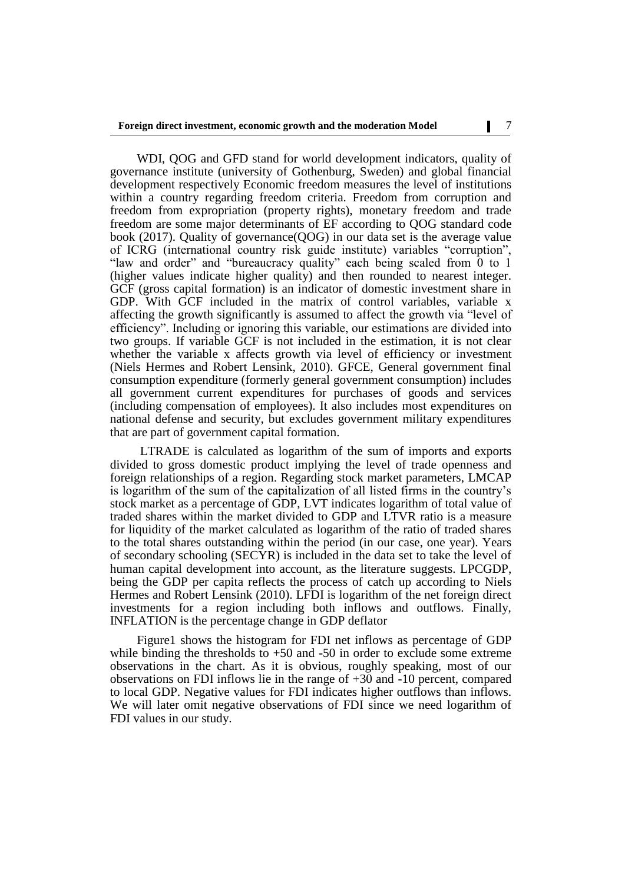WDI, QOG and GFD stand for world development indicators, quality of governance institute (university of Gothenburg, Sweden) and global financial development respectively Economic freedom measures the level of institutions within a country regarding freedom criteria. Freedom from corruption and freedom from expropriation (property rights), monetary freedom and trade freedom are some major determinants of EF according to QOG standard code book (2017). Quality of governance(QOG) in our data set is the average value of ICRG (international country risk guide institute) variables "corruption", "law and order" and "bureaucracy quality" each being scaled from 0 to 1 (higher values indicate higher quality) and then rounded to nearest integer. GCF (gross capital formation) is an indicator of domestic investment share in GDP. With GCF included in the matrix of control variables, variable x affecting the growth significantly is assumed to affect the growth via "level of efficiency". Including or ignoring this variable, our estimations are divided into two groups. If variable GCF is not included in the estimation, it is not clear whether the variable x affects growth via level of efficiency or investment (Niels Hermes and Robert Lensink, 2010). GFCE, General government final consumption expenditure (formerly general government consumption) includes all government current expenditures for purchases of goods and services (including compensation of employees). It also includes most expenditures on national defense and security, but excludes government military expenditures that are part of government capital formation.

LTRADE is calculated as logarithm of the sum of imports and exports divided to gross domestic product implying the level of trade openness and foreign relationships of a region. Regarding stock market parameters, LMCAP is logarithm of the sum of the capitalization of all listed firms in the country's stock market as a percentage of GDP, LVT indicates logarithm of total value of traded shares within the market divided to GDP and LTVR ratio is a measure for liquidity of the market calculated as logarithm of the ratio of traded shares to the total shares outstanding within the period (in our case, one year). Years of secondary schooling (SECYR) is included in the data set to take the level of human capital development into account, as the literature suggests. LPCGDP, being the GDP per capita reflects the process of catch up according to Niels Hermes and Robert Lensink (2010). LFDI is logarithm of the net foreign direct investments for a region including both inflows and outflows. Finally, INFLATION is the percentage change in GDP deflator

Figure1 shows the histogram for FDI net inflows as percentage of GDP while binding the thresholds to  $+50$  and  $-50$  in order to exclude some extreme observations in the chart. As it is obvious, roughly speaking, most of our observations on FDI inflows lie in the range of +30 and -10 percent, compared to local GDP. Negative values for FDI indicates higher outflows than inflows. We will later omit negative observations of FDI since we need logarithm of FDI values in our study.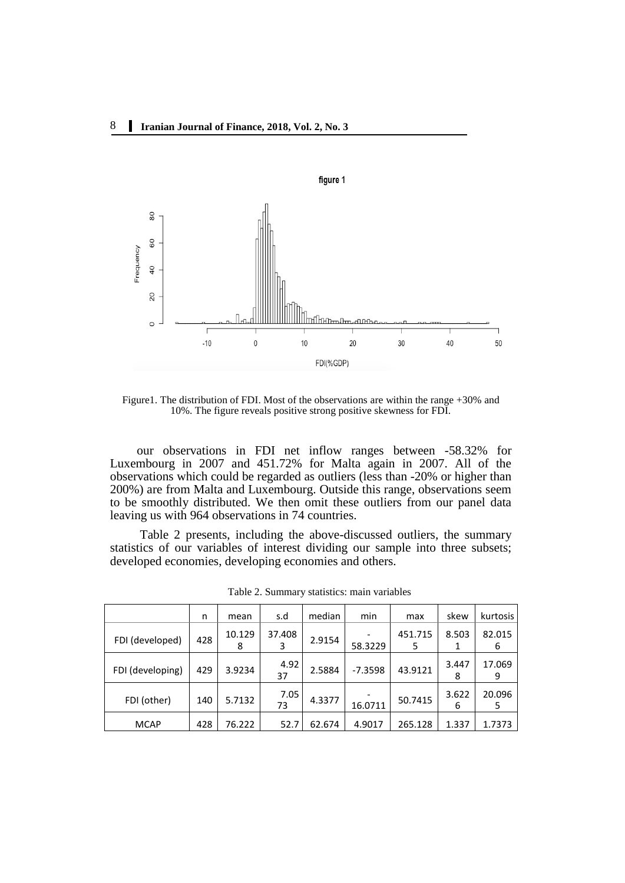

Figure1. The distribution of FDI. Most of the observations are within the range +30% and 10%. The figure reveals positive strong positive skewness for FDI.

our observations in FDI net inflow ranges between -58.32% for Luxembourg in 2007 and 451.72% for Malta again in 2007. All of the observations which could be regarded as outliers (less than -20% or higher than 200%) are from Malta and Luxembourg. Outside this range, observations seem to be smoothly distributed. We then omit these outliers from our panel data leaving us with 964 observations in 74 countries.

Table 2 presents, including the above-discussed outliers, the summary statistics of our variables of interest dividing our sample into three subsets; developed economies, developing economies and others.

|                  | n   | mean        | s.d         | median | min       | max          | skew       | kurtosis    |
|------------------|-----|-------------|-------------|--------|-----------|--------------|------------|-------------|
| FDI (developed)  | 428 | 10.129<br>8 | 37.408<br>3 | 2.9154 | 58.3229   | 451.715<br>5 | 8.503<br>1 | 82.015<br>6 |
| FDI (developing) | 429 | 3.9234      | 4.92<br>37  | 2.5884 | $-7.3598$ | 43.9121      | 3.447<br>8 | 17.069<br>9 |
| FDI (other)      | 140 | 5.7132      | 7.05<br>73  | 4.3377 | 16.0711   | 50.7415      | 3.622<br>6 | 20.096<br>5 |
| <b>MCAP</b>      | 428 | 76.222      | 52.7        | 62.674 | 4.9017    | 265.128      | 1.337      | 1.7373      |

Table 2. Summary statistics: main variables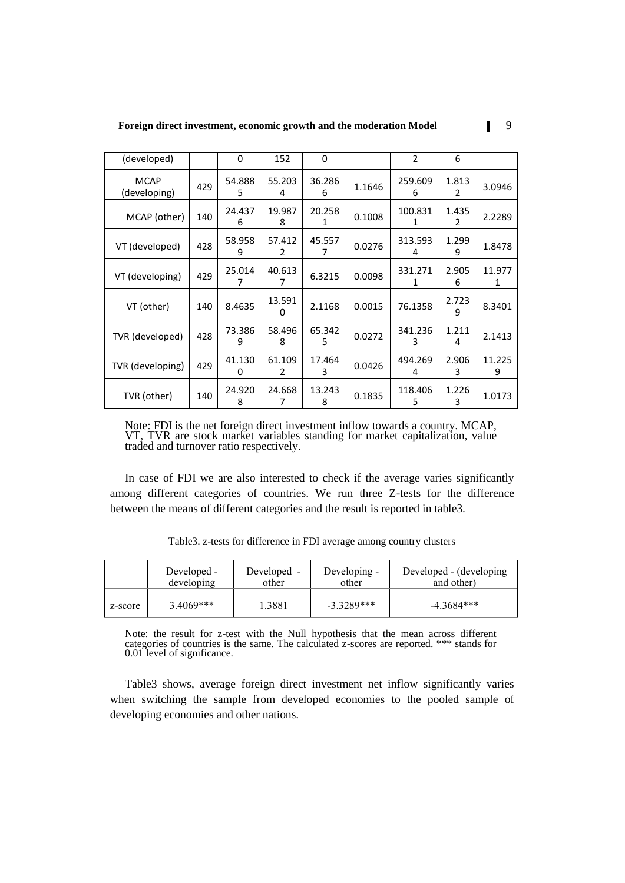| (developed)                 |     | 0           | 152         | $\Omega$    |        | $\overline{2}$ | 6          |             |
|-----------------------------|-----|-------------|-------------|-------------|--------|----------------|------------|-------------|
| <b>MCAP</b><br>(developing) | 429 | 54.888<br>5 | 55.203<br>4 | 36.286<br>6 | 1.1646 | 259.609<br>6   | 1.813<br>2 | 3.0946      |
| MCAP (other)                | 140 | 24.437<br>6 | 19.987<br>8 | 20.258<br>1 | 0.1008 | 100.831<br>1   | 1.435<br>2 | 2.2289      |
| VT (developed)              | 428 | 58.958<br>9 | 57.412<br>2 | 45.557      | 0.0276 | 313.593<br>4   | 1.299<br>9 | 1.8478      |
| VT (developing)             | 429 | 25.014<br>7 | 40.613<br>7 | 6.3215      | 0.0098 | 331.271<br>1   | 2.905<br>6 | 11.977<br>1 |
| VT (other)                  | 140 | 8.4635      | 13.591<br>0 | 2.1168      | 0.0015 | 76.1358        | 2.723<br>9 | 8.3401      |
| TVR (developed)             | 428 | 73.386<br>9 | 58.496<br>8 | 65.342<br>5 | 0.0272 | 341.236<br>3   | 1.211<br>4 | 2.1413      |
| TVR (developing)            | 429 | 41.130<br>0 | 61.109<br>2 | 17.464<br>3 | 0.0426 | 494.269<br>4   |            | 11.225<br>9 |
| TVR (other)                 | 140 | 24.920<br>8 | 24.668<br>7 | 13.243<br>8 | 0.1835 | 118.406<br>5   | 1.226<br>3 | 1.0173      |

Note: FDI is the net foreign direct investment inflow towards a country. MCAP, VT, TVR are stock market variables standing for market capitalization, value traded and turnover ratio respectively.

In case of FDI we are also interested to check if the average varies significantly among different categories of countries. We run three Z-tests for the difference between the means of different categories and the result is reported in table3.

|         | Developed - | Developed - | Developing - | Developed - (developing |
|---------|-------------|-------------|--------------|-------------------------|
|         | developing  | other       | other        | and other)              |
| z-score | $3.4069***$ | .3881       | $-3.3289***$ | $-4.3684***$            |

Table3. z-tests for difference in FDI average among country clusters

Note: the result for z-test with the Null hypothesis that the mean across different categories of countries is the same. The calculated z-scores are reported. \*\*\* stands for 0.01 level of significance.

Table3 shows, average foreign direct investment net inflow significantly varies when switching the sample from developed economies to the pooled sample of developing economies and other nations.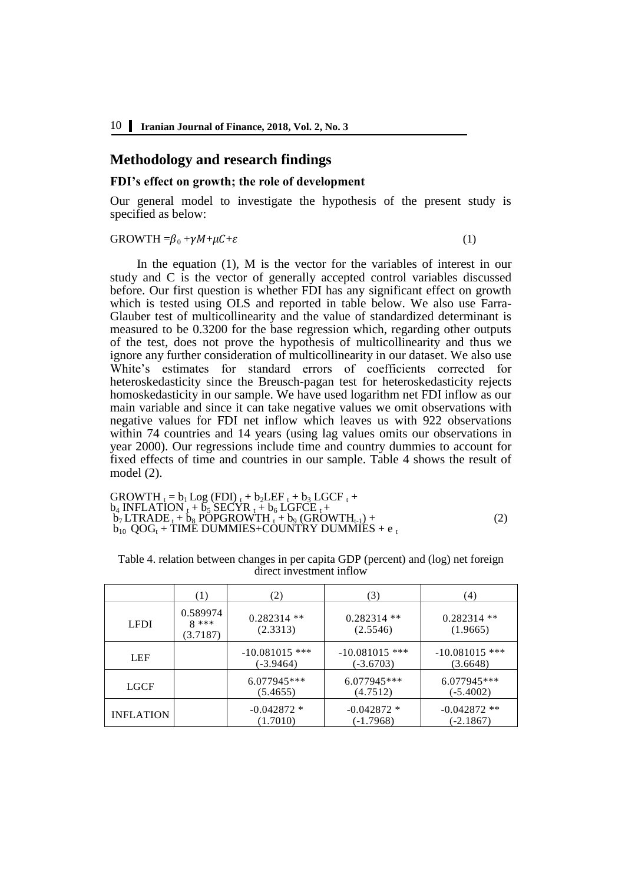## **Methodology and research findings**

#### **FDI's effect on growth; the role of development**

Our general model to investigate the hypothesis of the present study is specified as below:

#### GROWTH  $=\beta_0 + \gamma M + \mu C + \varepsilon$  (1)

In the equation (1), M is the vector for the variables of interest in our study and C is the vector of generally accepted control variables discussed before. Our first question is whether FDI has any significant effect on growth which is tested using OLS and reported in table below. We also use Farra-Glauber test of multicollinearity and the value of standardized determinant is measured to be 0.3200 for the base regression which, regarding other outputs of the test, does not prove the hypothesis of multicollinearity and thus we ignore any further consideration of multicollinearity in our dataset. We also use White's estimates for standard errors of coefficients corrected for heteroskedasticity since the Breusch-pagan test for heteroskedasticity rejects homoskedasticity in our sample. We have used logarithm net FDI inflow as our main variable and since it can take negative values we omit observations with negative values for FDI net inflow which leaves us with 922 observations within 74 countries and 14 years (using lag values omits our observations in year 2000). Our regressions include time and country dummies to account for fixed effects of time and countries in our sample. Table 4 shows the result of model (2).

GROWTH <sup>t</sup> = b1 Log (FDI) <sup>t</sup> + b2LEF <sup>t</sup> + b<sup>3</sup> LGCF <sup>t</sup> + b<sup>4</sup> INFLATION <sup>t</sup> + b<sup>5</sup> SECYR <sup>t</sup> + b<sup>6</sup> LGFCE t + b<sup>7</sup> LTRADE <sup>t</sup> + b<sup>8</sup> POPGROWTH <sup>t</sup> + b<sup>9</sup> (GROWTHt-1) + (2) b10 QOG<sup>t</sup> + TIME DUMMIES+COUNTRY DUMMIES + e <sup>t</sup>

|                  | (1)                            | (2)                           | (3)                             | (4)                           |
|------------------|--------------------------------|-------------------------------|---------------------------------|-------------------------------|
| <b>LFDI</b>      | 0.589974<br>$8***$<br>(3.7187) | $0.282314$ **<br>(2.3313)     | $0.282314$ **<br>(2.5546)       | $0.282314$ **<br>(1.9665)     |
| <b>LEF</b>       |                                | $-10.081015$ ***<br>(-3.9464) | $-10.081015$ ***<br>$(-3.6703)$ | $-10.081015$ ***<br>(3.6648)  |
| LGCF             |                                | 6.077945***<br>(5.4655)       | $6.077945***$<br>(4.7512)       | 6.077945***<br>$(-5.4002)$    |
| <b>INFLATION</b> |                                | $-0.042872*$<br>(1.7010)      | $-0.042872*$<br>(-1.7968)       | $-0.042872$ **<br>$(-2.1867)$ |

Table 4. relation between changes in per capita GDP (percent) and (log) net foreign direct investment inflow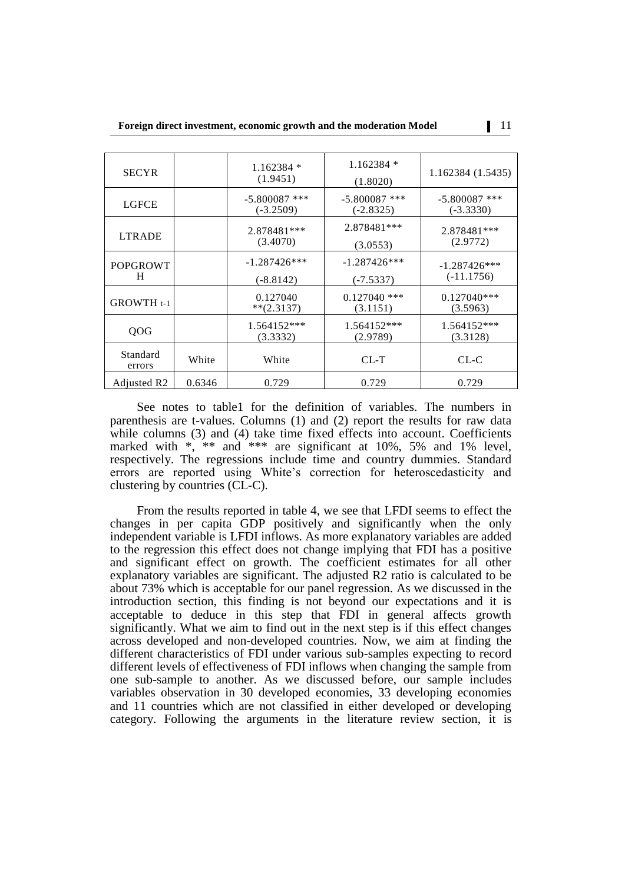| <b>SECYR</b>            |        | $1.162384*$<br>(1.9451)      | $1.162384*$<br>(1.8020)        | 1.162384 (1.5435)              |
|-------------------------|--------|------------------------------|--------------------------------|--------------------------------|
| <b>LGFCE</b>            |        | $-5.800087$ ***<br>(-3.2509) | $-5.800087$ ***<br>$(-2.8325)$ | $-5.800087$ ***<br>(-3.3330)   |
| <b>LTRADE</b>           |        | 2.878481***<br>(3.4070)      | 2.878481***<br>(3.0553)        | 2.878481***<br>(2.9772)        |
| <b>POPGROWT</b><br>H    |        | $-1.287426***$<br>(-8.8142)  | $-1.287426***$<br>$(-7.5337)$  | $-1.287426***$<br>$(-11.1756)$ |
| GROWTH <sub>t-1</sub>   |        | 0.127040<br>$**(2.3137)$     | $0.127040$ ***<br>(3.1151)     | $0.127040**$<br>(3.5963)       |
| QOG                     |        | $1.564152***$<br>(3.3332)    | $1.564152***$<br>(2.9789)      | 1.564152***<br>(3.3128)        |
| Standard<br>errors      | White  | White                        | $CL-T$                         | $CL-C$                         |
| Adjusted R <sub>2</sub> | 0.6346 | 0.729                        | 0.729                          | 0.729                          |

See notes to table1 for the definition of variables. The numbers in parenthesis are t-values. Columns (1) and (2) report the results for raw data while columns (3) and (4) take time fixed effects into account. Coefficients marked with  $\ast$ ,  $\ast\ast$  and  $\ast\ast\ast$  are significant at 10%, 5% and 1% level, respectively. The regressions include time and country dummies. Standard errors are reported using White's correction for heteroscedasticity and clustering by countries (CL-C).

From the results reported in table 4, we see that LFDI seems to effect the changes in per capita GDP positively and significantly when the only independent variable is LFDI inflows. As more explanatory variables are added to the regression this effect does not change implying that FDI has a positive and significant effect on growth. The coefficient estimates for all other explanatory variables are significant. The adjusted R2 ratio is calculated to be about 73% which is acceptable for our panel regression. As we discussed in the introduction section, this finding is not beyond our expectations and it is acceptable to deduce in this step that FDI in general affects growth significantly. What we aim to find out in the next step is if this effect changes across developed and non-developed countries. Now, we aim at finding the different characteristics of FDI under various sub-samples expecting to record different levels of effectiveness of FDI inflows when changing the sample from one sub-sample to another. As we discussed before, our sample includes variables observation in 30 developed economies, 33 developing economies and 11 countries which are not classified in either developed or developing category. Following the arguments in the literature review section, it is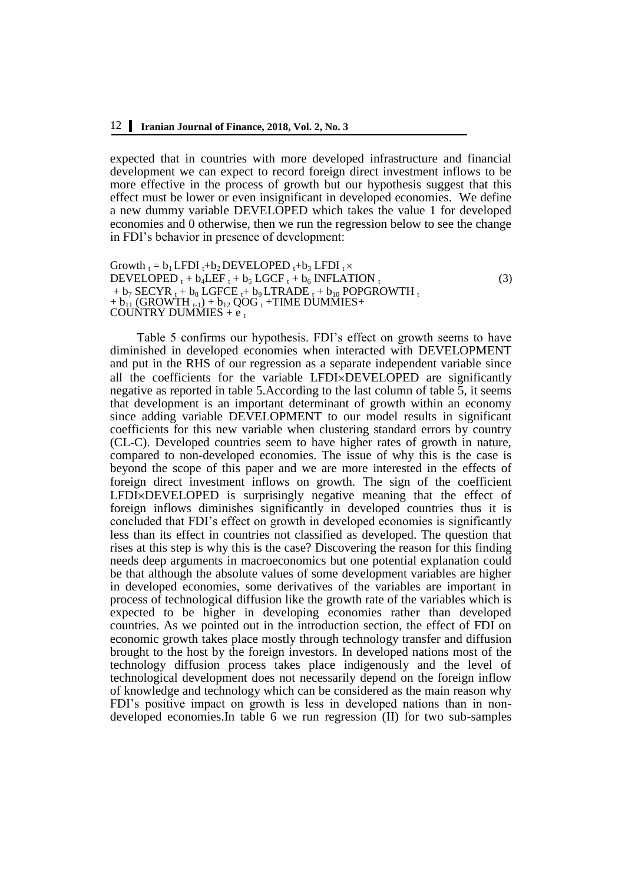expected that in countries with more developed infrastructure and financial development we can expect to record foreign direct investment inflows to be more effective in the process of growth but our hypothesis suggest that this effect must be lower or even insignificant in developed economies. We define a new dummy variable DEVELOPED which takes the value 1 for developed economies and 0 otherwise, then we run the regression below to see the change in FDI's behavior in presence of development:

```
Growth t = b_1 LFDI t + b_2 DEVELOPED t + b_3 LFDI t \timesDEVELOPED t + b_4 L EF_t + b_5 LGCF_t + b_6 INFLATION_t(3)+ b_7 SECYR t + b_8 LGFCE t + b_9 LTRADE t + b_{10} POPGROWTH t+ b_{11} (GROWTH _{t-1}) + b_{12} QOG _t +TIME DUMMIES+
COUNTRY DUMMIES + e_t
```
Table 5 confirms our hypothesis. FDI's effect on growth seems to have diminished in developed economies when interacted with DEVELOPMENT and put in the RHS of our regression as a separate independent variable since all the coefficients for the variable LFDI×DEVELOPED are significantly negative as reported in table 5.According to the last column of table 5, it seems that development is an important determinant of growth within an economy since adding variable DEVELOPMENT to our model results in significant coefficients for this new variable when clustering standard errors by country (CL-C). Developed countries seem to have higher rates of growth in nature, compared to non-developed economies. The issue of why this is the case is beyond the scope of this paper and we are more interested in the effects of foreign direct investment inflows on growth. The sign of the coefficient  $LEDIXDEVELOPED$  is surprisingly negative meaning that the effect of foreign inflows diminishes significantly in developed countries thus it is concluded that FDI's effect on growth in developed economies is significantly less than its effect in countries not classified as developed. The question that rises at this step is why this is the case? Discovering the reason for this finding needs deep arguments in macroeconomics but one potential explanation could be that although the absolute values of some development variables are higher in developed economies, some derivatives of the variables are important in process of technological diffusion like the growth rate of the variables which is expected to be higher in developing economies rather than developed countries. As we pointed out in the introduction section, the effect of FDI on economic growth takes place mostly through technology transfer and diffusion brought to the host by the foreign investors. In developed nations most of the technology diffusion process takes place indigenously and the level of technological development does not necessarily depend on the foreign inflow of knowledge and technology which can be considered as the main reason why FDI's positive impact on growth is less in developed nations than in nondeveloped economies.In table 6 we run regression (II) for two sub-samples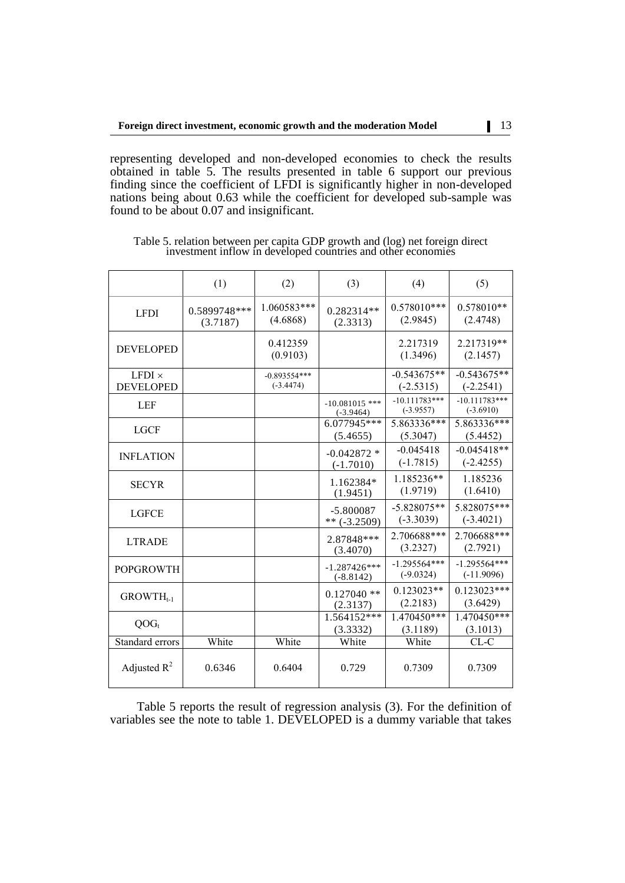representing developed and non-developed economies to check the results obtained in table 5. The results presented in table 6 support our previous finding since the coefficient of LFDI is significantly higher in non-developed nations being about 0.63 while the coefficient for developed sub-sample was found to be about 0.07 and insignificant.

|                                   | (1)                      | (2)                           | (3)                             | (4)                            | (5)                            |
|-----------------------------------|--------------------------|-------------------------------|---------------------------------|--------------------------------|--------------------------------|
| <b>LFDI</b>                       | 0.5899748***<br>(3.7187) | 1.060583***<br>(4.6868)       | 0.282314**<br>(2.3313)          | $0.578010***$<br>(2.9845)      | $0.578010**$<br>(2.4748)       |
| <b>DEVELOPED</b>                  |                          | 0.412359<br>(0.9103)          |                                 | 2.217319<br>(1.3496)           | 2.217319**<br>(2.1457)         |
| $LFDI \times$<br><b>DEVELOPED</b> |                          | $-0.893554***$<br>$(-3.4474)$ |                                 | $-0.543675**$<br>$(-2.5315)$   | $-0.543675**$<br>$(-2.2541)$   |
| LEF                               |                          |                               | $-10.081015$ ***<br>$(-3.9464)$ | $-10.111783***$<br>$(-3.9557)$ | $-10.111783***$<br>$(-3.6910)$ |
| <b>LGCF</b>                       |                          |                               | 6.077945***<br>(5.4655)         | 5.863336***<br>(5.3047)        | 5.863336***<br>(5.4452)        |
| <b>INFLATION</b>                  |                          |                               | $-0.042872*$<br>$(-1.7010)$     | $-0.045418$<br>$(-1.7815)$     | $-0.045418**$<br>$(-2.4255)$   |
| <b>SECYR</b>                      |                          |                               | 1.162384*<br>(1.9451)           | 1.185236**<br>(1.9719)         | 1.185236<br>(1.6410)           |
| <b>LGFCE</b>                      |                          |                               | $-5.800087$<br>$**$ (-3.2509)   | $-5.828075**$<br>$(-3.3039)$   | 5.828075***<br>$(-3.4021)$     |
| <b>LTRADE</b>                     |                          |                               | 2.87848***<br>(3.4070)          | 2.706688***<br>(3.2327)        | 2.706688***<br>(2.7921)        |
| <b>POPGROWTH</b>                  |                          |                               | $-1.287426***$<br>$(-8.8142)$   | $-1.295564***$<br>$(-9.0324)$  | $-1.295564***$<br>$(-11.9096)$ |
| $GROWTH_{t-1}$                    |                          |                               | $0.127040$ **<br>(2.3137)       | $0.123023**$<br>(2.2183)       | $0.123023***$<br>(3.6429)      |
| $QOG_t$                           |                          |                               | 1.564152***<br>(3.3332)         | 1.470450***<br>(3.1189)        | 1.470450***<br>(3.1013)        |
| Standard errors                   | White                    | White                         | White                           | White                          | $CL-C$                         |
| Adjusted $R^2$                    | 0.6346                   | 0.6404                        | 0.729                           | 0.7309                         | 0.7309                         |

Table 5. relation between per capita GDP growth and (log) net foreign direct investment inflow in developed countries and other economies

Table 5 reports the result of regression analysis (3). For the definition of variables see the note to table 1. DEVELOPED is a dummy variable that takes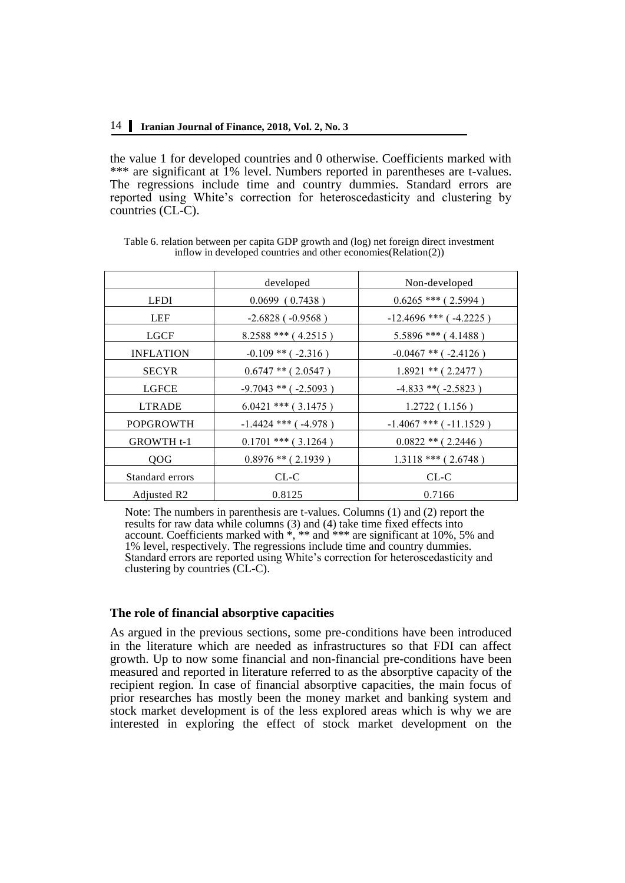the value 1 for developed countries and 0 otherwise. Coefficients marked with \*\*\* are significant at 1% level. Numbers reported in parentheses are t-values. The regressions include time and country dummies. Standard errors are reported using White's correction for heteroscedasticity and clustering by countries (CL-C).

|                         | developed                  | Non-developed                |
|-------------------------|----------------------------|------------------------------|
| <b>LFDI</b>             | $0.0699$ (0.7438)          | $0.6265$ *** (2.5994)        |
| LEF                     | $-2.6828$ ( $-0.9568$ )    | $-12.4696$ *** ( $-4.2225$ ) |
| <b>LGCF</b>             | $8.2588$ *** (4.2515)      | $5.5896$ *** (4.1488)        |
| <b>INFLATION</b>        | $-0.109$ ** ( $-2.316$ )   | $-0.0467$ ** ( $-2.4126$ )   |
| <b>SECYR</b>            | $0.6747$ ** (2.0547)       | $1.8921$ ** (2.2477)         |
| <b>LGFCE</b>            | $-9.7043$ ** ( $-2.5093$ ) | $-4.833$ **( $-2.5823$ )     |
| <b>LTRADE</b>           | $6.0421$ *** (3.1475)      | 1.2722(1.156)                |
| <b>POPGROWTH</b>        | $-1.4424$ *** ( $-4.978$ ) | $-1.4067$ *** ( $-11.1529$ ) |
| <b>GROWTH t-1</b>       | $0.1701$ *** (3.1264)      | $0.0822$ ** (2.2446)         |
| QOG                     | $0.8976$ ** (2.1939)       | $1.3118$ *** (2.6748)        |
| Standard errors         | $CL-C$                     | $CL-C$                       |
| Adjusted R <sub>2</sub> | 0.8125                     | 0.7166                       |

Table 6. relation between per capita GDP growth and (log) net foreign direct investment inflow in developed countries and other economies(Relation(2))

Note: The numbers in parenthesis are t-values. Columns (1) and (2) report the results for raw data while columns (3) and (4) take time fixed effects into account. Coefficients marked with \*, \*\* and \*\*\* are significant at 10%, 5% and 1% level, respectively. The regressions include time and country dummies. Standard errors are reported using White's correction for heteroscedasticity and clustering by countries (CL-C).

#### **The role of financial absorptive capacities**

As argued in the previous sections, some pre-conditions have been introduced in the literature which are needed as infrastructures so that FDI can affect growth. Up to now some financial and non-financial pre-conditions have been measured and reported in literature referred to as the absorptive capacity of the recipient region. In case of financial absorptive capacities, the main focus of prior researches has mostly been the money market and banking system and stock market development is of the less explored areas which is why we are interested in exploring the effect of stock market development on the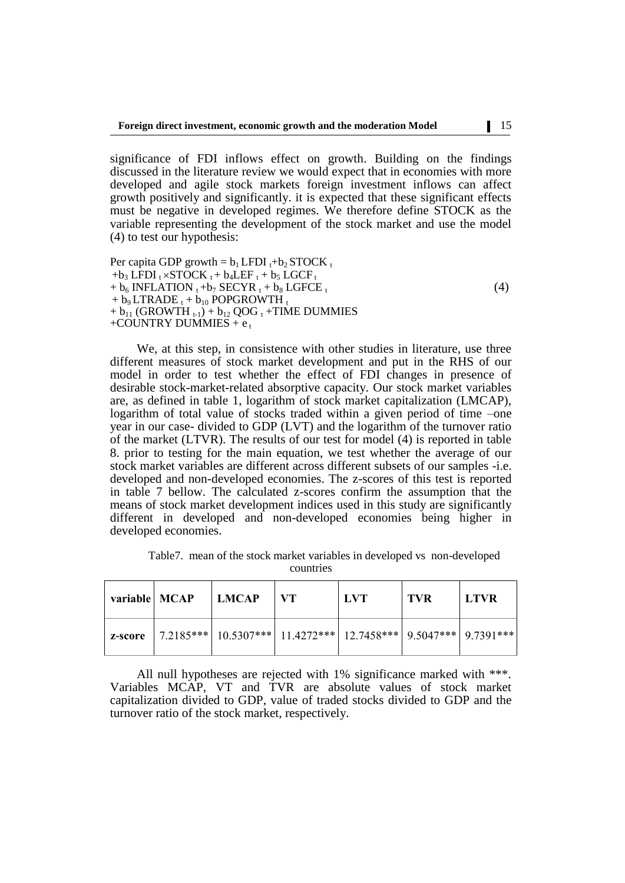significance of FDI inflows effect on growth. Building on the findings discussed in the literature review we would expect that in economies with more developed and agile stock markets foreign investment inflows can affect growth positively and significantly. it is expected that these significant effects must be negative in developed regimes. We therefore define STOCK as the variable representing the development of the stock market and use the model (4) to test our hypothesis:

Per capita GDP growth =  $b_1$  LFDI  $_t$ + $b_2$  STOCK  $_t$  $+b_3$  LFDI  $t \times \text{STOCK } t + b_4$ LEF  $t + b_5$  LGCF  $t$  $+ b_6$  INFLATION  $_1 + b_7$  SECYR  $_1 + b_8$  LGFCE  $_1$  $(4)$  $+ b_9 LTRADE_t + b_{10} POPGROWTH_t$  $+ b_{11}$  (GROWTH  $_{t-1}$ ) +  $b_{12}$  QOG  $_t$  +TIME DUMMIES +COUNTRY DUMMIES +  $e_t$ 

We, at this step, in consistence with other studies in literature, use three different measures of stock market development and put in the RHS of our model in order to test whether the effect of FDI changes in presence of desirable stock-market-related absorptive capacity. Our stock market variables are, as defined in table 1, logarithm of stock market capitalization (LMCAP), logarithm of total value of stocks traded within a given period of time –one year in our case- divided to GDP (LVT) and the logarithm of the turnover ratio of the market (LTVR). The results of our test for model (4) is reported in table 8. prior to testing for the main equation, we test whether the average of our stock market variables are different across different subsets of our samples -i.e. developed and non-developed economies. The z-scores of this test is reported in table 7 bellow. The calculated z-scores confirm the assumption that the means of stock market development indices used in this study are significantly different in developed and non-developed economies being higher in developed economies.

Table7. mean of the stock market variables in developed vs non-developed countries

| variable   MCAP | LMCAP                                                                                     | $\mathbf{V}$ | <b>LVT</b> | . TVR | <b>LTVR</b> |
|-----------------|-------------------------------------------------------------------------------------------|--------------|------------|-------|-------------|
|                 | <b>z-score</b>   7.2185***   10.5307***   11.4272***   12.7458***   9.5047***   9.7391*** |              |            |       |             |

All null hypotheses are rejected with 1% significance marked with \*\*\*. Variables MCAP, VT and TVR are absolute values of stock market capitalization divided to GDP, value of traded stocks divided to GDP and the turnover ratio of the stock market, respectively.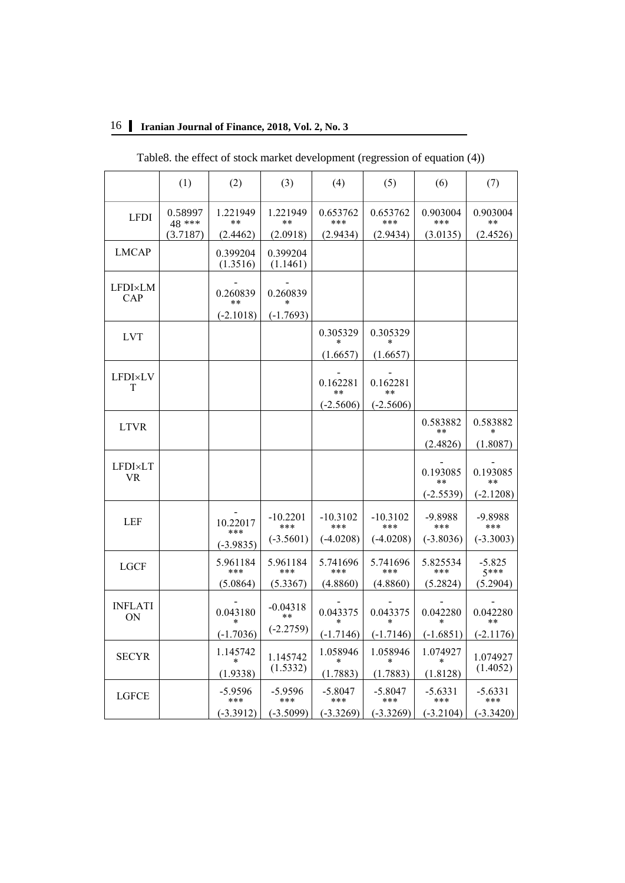| Table8. the effect of stock market development (regression of equation (4)) |                   |                      |                      |                    |                    |                   |                    |  |
|-----------------------------------------------------------------------------|-------------------|----------------------|----------------------|--------------------|--------------------|-------------------|--------------------|--|
|                                                                             | (1)               | (2)                  | (3)                  | (4)                | (5)                | (6)               | (7)                |  |
| <b>LFDI</b>                                                                 | 0.58997<br>48 *** | 1.221949<br>**       | 1.221949<br>**       | 0.653762<br>***    | 0.653762<br>***    | 0.903004<br>***   | 0.903004<br>**     |  |
|                                                                             | (3.7187)          | (2.4462)             | (2.0918)             | (2.9434)           | (2.9434)           | (3.0135)          | (2.4526)           |  |
| <b>LMCAP</b>                                                                |                   | 0.399204<br>(1.3516) | 0.399204<br>(1.1461) |                    |                    |                   |                    |  |
| <b>LFDI×LM</b><br>CAP                                                       |                   | 0.260839<br>$***$    | 0.260839<br>*        |                    |                    |                   |                    |  |
|                                                                             |                   | $(-2.1018)$          | $(-1.7693)$          |                    |                    |                   |                    |  |
| <b>LVT</b>                                                                  |                   |                      |                      | 0.305329<br>$\ast$ | 0.305329           |                   |                    |  |
|                                                                             |                   |                      |                      | (1.6657)           | (1.6657)           |                   |                    |  |
| <b>LFDI×LV</b><br>T                                                         |                   |                      |                      | 0.162281<br>**     | 0.162281<br>**     |                   |                    |  |
|                                                                             |                   |                      |                      | $(-2.5606)$        | $(-2.5606)$        |                   |                    |  |
| <b>LTVR</b>                                                                 |                   |                      |                      |                    |                    | 0.583882<br>**    | 0.583882           |  |
|                                                                             |                   |                      |                      |                    |                    | (2.4826)          | (1.8087)           |  |
| LFDI×LT<br>VR.                                                              |                   |                      |                      |                    |                    | 0.193085<br>$***$ | 0.193085<br>**     |  |
|                                                                             |                   |                      |                      |                    |                    | $(-2.5539)$       | $(-2.1208)$        |  |
| LEF                                                                         |                   | 10.22017<br>***      | $-10.2201$<br>***    | $-10.3102$<br>***  | $-10.3102$<br>***  | -9.8988<br>***    | -9.8988<br>***     |  |
|                                                                             |                   | $(-3.9835)$          | $(-3.5601)$          | $(-4.0208)$        | $(-4.0208)$        | $(-3.8036)$       | $(-3.3003)$        |  |
| <b>LGCF</b>                                                                 |                   | 5.961184<br>***      | 5.961184<br>***      | 5.741696<br>***    | 5.741696<br>***    | 5.825534<br>***   | $-5.825$<br>$5***$ |  |
|                                                                             |                   | (5.0864)             | (5.3367)             | (4.8860)           | (4.8860)           | (5.2824)          | (5.2904)           |  |
| <b>INFLATI</b><br>ON                                                        |                   | 0.043180             | $-0.04318$<br>$***$  | 0.043375           | 0.043375           | 0.042280          | 0.042280           |  |
|                                                                             |                   | $(-1.7036)$          | $(-2.2759)$          | $(-1.7146)$        | $(-1.7146)$        | $(-1.6851)$       | $(-2.1176)$        |  |
| <b>SECYR</b>                                                                |                   | 1.145742<br>$\ast$   | 1.145742             | 1.058946<br>$\ast$ | 1.058946<br>$\ast$ | 1.074927<br>∗     | 1.074927           |  |
|                                                                             |                   | (1.9338)             | (1.5332)             | (1.7883)           | (1.7883)           | (1.8128)          | (1.4052)           |  |
| <b>LGFCE</b>                                                                |                   | $-5.9596$<br>***     | $-5.9596$<br>***     | $-5.8047$<br>***   | $-5.8047$<br>***   | $-5.6331$<br>***  | $-5.6331$<br>***   |  |
|                                                                             |                   | $(-3.3912)$          | $(-3.5099)$          | $(-3.3269)$        | $(-3.3269)$        | $(-3.2104)$       | $(-3.3420)$        |  |

## 16 **Iranian Journal of Finance, 2018, Vol. 2, No. 3**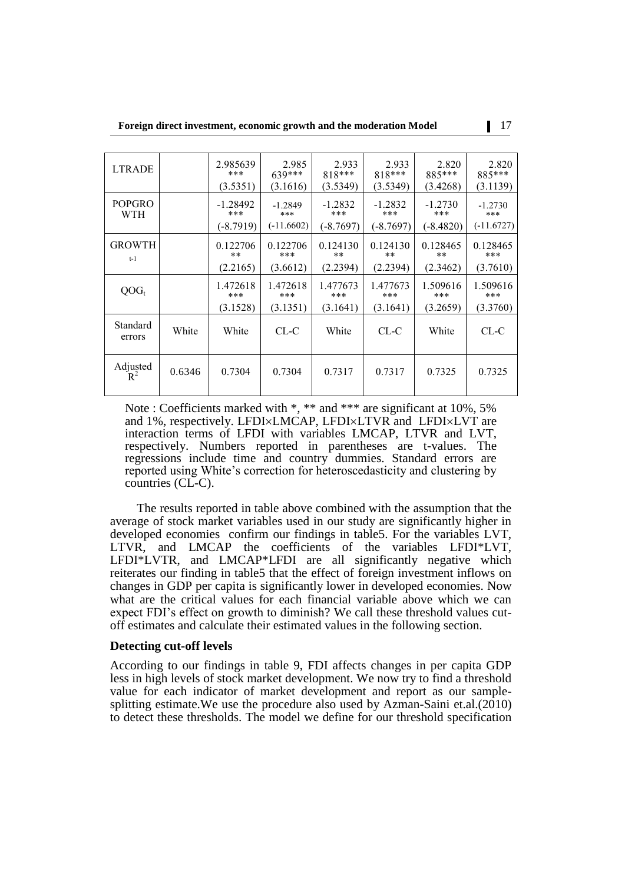| <b>LTRADE</b>               |        | 2.985639<br>***<br>(3.5351)    | 2.985<br>639***<br>(3.1616)      | 2.933<br>818***<br>(3.5349)     | 2.933<br>818***<br>(3.5349)   | 2.820<br>885***<br>(3.4268)   | 2.820<br>885***<br>(3.1139)      |
|-----------------------------|--------|--------------------------------|----------------------------------|---------------------------------|-------------------------------|-------------------------------|----------------------------------|
| <b>POPGRO</b><br><b>WTH</b> |        | $-1.28492$<br>***<br>(-8.7919) | $-1.2849$<br>***<br>$(-11.6602)$ | $-1.2832$<br>***<br>$(-8.7697)$ | $-1.2832$<br>***<br>(-8.7697) | $-1.2730$<br>***<br>(-8.4820) | $-1.2730$<br>***<br>$(-11.6727)$ |
| <b>GROWTH</b><br>$t-1$      |        | 0.122706<br>$***$<br>(2.2165)  | 0.122706<br>***<br>(3.6612)      | 0.124130<br>$**$<br>(2.2394)    | 0.124130<br>$***$<br>(2.2394) | 0.128465<br>$***$<br>(2.3462) | 0.128465<br>***<br>(3.7610)      |
| $OOG_t$                     |        | 1.472618<br>***<br>(3.1528)    | 1.472618<br>***<br>(3.1351)      | 1.477673<br>***<br>(3.1641)     | 1.477673<br>***<br>(3.1641)   | 1.509616<br>***<br>(3.2659)   | 1.509616<br>***<br>(3.3760)      |
| Standard<br>errors          | White  | White                          | $CL-C$                           | White                           | $CL-C$                        | White                         | $CL-C$                           |
| Adjusted<br>$R^2$           | 0.6346 | 0.7304                         | 0.7304                           | 0.7317                          | 0.7317                        | 0.7325                        | 0.7325                           |

Note : Coefficients marked with \*, \*\* and \*\*\* are significant at 10%, 5% and 1%, respectively. LFDI×LMCAP, LFDI×LTVR and LFDI×LVT are interaction terms of LFDI with variables LMCAP, LTVR and LVT, respectively. Numbers reported in parentheses are t-values. The regressions include time and country dummies. Standard errors are reported using White's correction for heteroscedasticity and clustering by countries (CL-C).

The results reported in table above combined with the assumption that the average of stock market variables used in our study are significantly higher in developed economies confirm our findings in table5. For the variables LVT, LTVR, and LMCAP the coefficients of the variables LFDI\*LVT, LFDI\*LVTR, and LMCAP\*LFDI are all significantly negative which reiterates our finding in table5 that the effect of foreign investment inflows on changes in GDP per capita is significantly lower in developed economies. Now what are the critical values for each financial variable above which we can expect FDI's effect on growth to diminish? We call these threshold values cutoff estimates and calculate their estimated values in the following section.

#### **Detecting cut-off levels**

According to our findings in table 9, FDI affects changes in per capita GDP less in high levels of stock market development. We now try to find a threshold value for each indicator of market development and report as our samplesplitting estimate.We use the procedure also used by Azman-Saini et.al.(2010) to detect these thresholds. The model we define for our threshold specification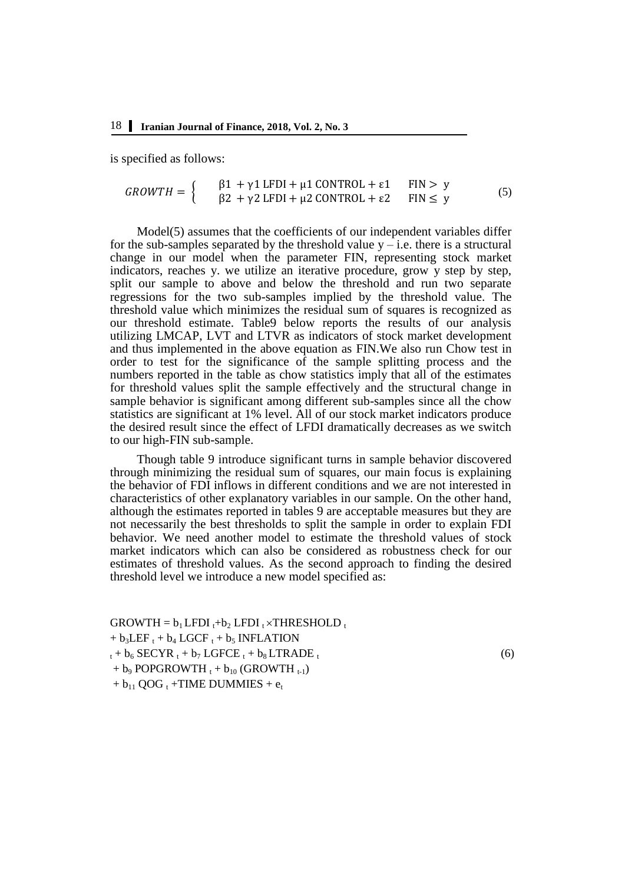is specified as follows:

$$
GROWTH = \begin{cases} \beta 1 + \gamma 1 \text{ LFDI} + \mu 1 \text{ CONTROL} + \varepsilon 1 & \text{FIN} > y \\ \beta 2 + \gamma 2 \text{ LFDI} + \mu 2 \text{ CONTROL} + \varepsilon 2 & \text{FIN} \le y \end{cases}
$$
 (5)

Model(5) assumes that the coefficients of our independent variables differ for the sub-samples separated by the threshold value  $y$  – i.e. there is a structural change in our model when the parameter FIN, representing stock market indicators, reaches y. we utilize an iterative procedure, grow y step by step, split our sample to above and below the threshold and run two separate regressions for the two sub-samples implied by the threshold value. The threshold value which minimizes the residual sum of squares is recognized as our threshold estimate. Table9 below reports the results of our analysis utilizing LMCAP, LVT and LTVR as indicators of stock market development and thus implemented in the above equation as FIN.We also run Chow test in order to test for the significance of the sample splitting process and the numbers reported in the table as chow statistics imply that all of the estimates for threshold values split the sample effectively and the structural change in sample behavior is significant among different sub-samples since all the chow statistics are significant at 1% level. All of our stock market indicators produce the desired result since the effect of LFDI dramatically decreases as we switch to our high-FIN sub-sample.

Though table 9 introduce significant turns in sample behavior discovered through minimizing the residual sum of squares, our main focus is explaining the behavior of FDI inflows in different conditions and we are not interested in characteristics of other explanatory variables in our sample. On the other hand, although the estimates reported in tables 9 are acceptable measures but they are not necessarily the best thresholds to split the sample in order to explain FDI behavior. We need another model to estimate the threshold values of stock market indicators which can also be considered as robustness check for our estimates of threshold values. As the second approach to finding the desired threshold level we introduce a new model specified as:

 $GROWTH = b<sub>1</sub> LFDI<sub>t</sub>+b<sub>2</sub> LFDI<sub>t</sub> \times THRESHOLD<sub>t</sub>$  $+ b_3LEF_t + b_4 LGCF_t + b_5 INFLATION$  $t_t + b_6$  SECYR  $t_t + b_7$  LGFCE  $t_t + b_8$  LTRADE  $t_t$  $(6)$  $+ b_9$  POPGROWTH  $t_1 + b_{10}$  (GROWTH  $t_{t-1}$ )  $+ b_{11}$  QOG  $_{t}$  +TIME DUMMIES +  $e_{t}$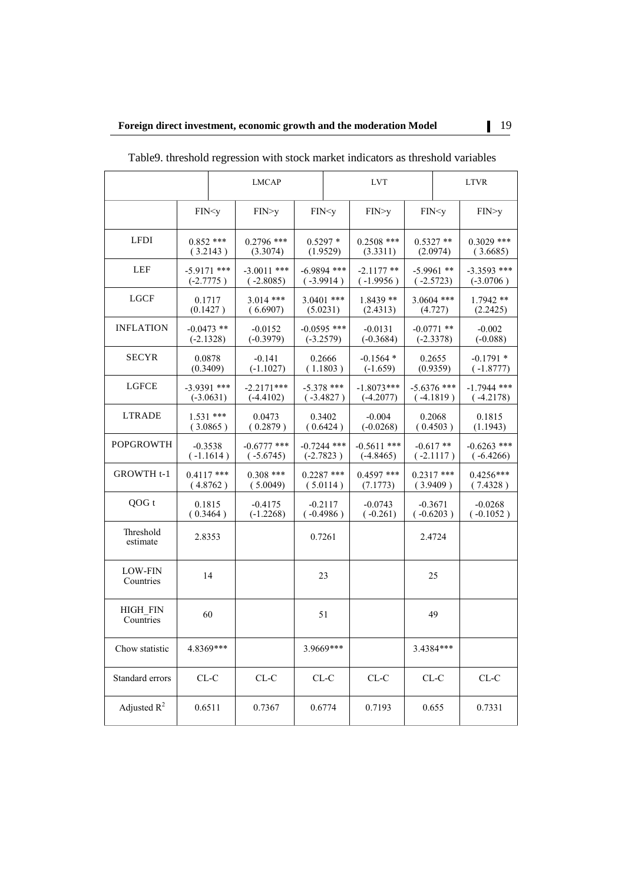|                              | <b>LMCAP</b>                                                                                                                                            |             |                              | <b>LVT</b>               |                                                                                           |                              | <b>LTVR</b>             |                                      |                              |
|------------------------------|---------------------------------------------------------------------------------------------------------------------------------------------------------|-------------|------------------------------|--------------------------|-------------------------------------------------------------------------------------------|------------------------------|-------------------------|--------------------------------------|------------------------------|
|                              | FIN <y< td=""><td></td><td>FIN&gt;y</td><td></td><td>FIN<y< td=""><td>FIN&gt;y</td><td></td><td>FIN<y< td=""><td>FIN&gt;y</td></y<></td></y<></td></y<> |             | FIN>y                        |                          | FIN <y< td=""><td>FIN&gt;y</td><td></td><td>FIN<y< td=""><td>FIN&gt;y</td></y<></td></y<> | FIN>y                        |                         | FIN <y< td=""><td>FIN&gt;y</td></y<> | FIN>y                        |
| <b>LFDI</b>                  | $0.852$ ***<br>(3.2143)                                                                                                                                 |             | $0.2796$ ***<br>(3.3074)     | $0.5297*$<br>(1.9529)    |                                                                                           | $0.2508$ ***<br>(3.3311)     | $0.5327**$<br>(2.0974)  |                                      | $0.3029$ ***<br>(3.6685)     |
| LEF                          | $-5.9171$ ***<br>$(-2.7775)$                                                                                                                            |             | $-3.0011$ ***<br>$(-2.8085)$ |                          | $-6.9894$ ***<br>$(-3.9914)$                                                              | $-2.1177$ **<br>$(-1.9956)$  |                         | $-5.9961$ **<br>$(-2.5723)$          | $-3.3593$ ***<br>$(-3.0706)$ |
| <b>LGCF</b>                  | 0.1717<br>(0.1427)                                                                                                                                      |             | $3.014$ ***<br>(6.6907)      | $3.0401$ ***<br>(5.0231) |                                                                                           | $1.8439**$<br>(2.4313)       | $3.0604$ ***<br>(4.727) |                                      | $1.7942**$<br>(2.2425)       |
| <b>INFLATION</b>             | $-0.0473$ **<br>$(-2.1328)$                                                                                                                             |             | $-0.0152$<br>$(-0.3979)$     |                          | $-0.0595$ ***<br>$(-3.2579)$                                                              | $-0.0131$<br>$(-0.3684)$     |                         | $-0.0771$ **<br>$(-2.3378)$          | $-0.002$<br>$(-0.088)$       |
| <b>SECYR</b>                 | 0.0878<br>(0.3409)                                                                                                                                      |             | $-0.141$<br>$(-1.1027)$      |                          | 0.2666<br>(1.1803)                                                                        | $-0.1564*$<br>$(-1.659)$     |                         | 0.2655<br>(0.9359)                   | $-0.1791*$<br>$(-1.8777)$    |
| LGFCE                        | $-3.9391$ ***                                                                                                                                           | $(-3.0631)$ | $-2.2171***$<br>$(-4.4102)$  |                          | $-5.378$ ***<br>$(-3.4827)$                                                               | $-1.8073***$<br>$(-4.2077)$  |                         | $-5.6376$ ***<br>$(-4.1819)$         | $-1.7944$ ***<br>$(-4.2178)$ |
| <b>LTRADE</b>                | $1.531***$                                                                                                                                              | (3.0865)    | 0.0473<br>(0.2879)           |                          | 0.3402<br>(0.6424)                                                                        | $-0.004$<br>$(-0.0268)$      |                         | 0.2068<br>(0.4503)                   | 0.1815<br>(1.1943)           |
| <b>POPGROWTH</b>             | $-0.3538$                                                                                                                                               | $(-1.1614)$ | $-0.6777$ ***<br>$(-5.6745)$ |                          | $-0.7244$ ***<br>$(-2.7823)$                                                              | $-0.5611$ ***<br>$(-4.8465)$ |                         | $-0.617**$<br>$(-2.1117)$            | $-0.6263$ ***<br>$(-6.4266)$ |
| GROWTH t-1                   | $0.4117$ ***                                                                                                                                            | (4.8762)    | $0.308$ ***<br>(5.0049)      |                          | $0.2287$ ***<br>(5.0114)                                                                  | $0.4597$ ***<br>(7.1773)     |                         | $0.2317$ ***<br>(3.9409)             | $0.4256***$<br>(7.4328)      |
| QOG t                        | 0.1815<br>(0.3464)                                                                                                                                      |             | $-0.4175$<br>$(-1.2268)$     |                          | $-0.2117$<br>$(-0.4986)$                                                                  | $-0.0743$<br>$(-0.261)$      |                         | $-0.3671$<br>$(-0.6203)$             | $-0.0268$<br>$(-0.1052)$     |
| Threshold<br>estimate        | 2.8353                                                                                                                                                  |             |                              | 0.7261                   |                                                                                           |                              |                         | 2.4724                               |                              |
| <b>LOW-FIN</b><br>Countries  |                                                                                                                                                         | 14          |                              |                          | 23                                                                                        |                              |                         | 25                                   |                              |
| <b>HIGH FIN</b><br>Countries | 60                                                                                                                                                      |             |                              |                          | 51                                                                                        |                              |                         | 49                                   |                              |
| Chow statistic               | 4.8369***                                                                                                                                               |             |                              |                          | 3.9669***                                                                                 |                              |                         | 3.4384***                            |                              |
| Standard errors              | $CL-C$                                                                                                                                                  |             | ${\rm CL}\text{-}{\rm C}$    |                          | ${\rm CL}\text{-}{\rm C}$                                                                 | ${\rm CL}\text{-}{\rm C}$    |                         | ${\rm CL}\text{-}{\rm C}$            | ${\rm CL}\text{-}{\rm C}$    |
| Adjusted $R^2$               | 0.6511                                                                                                                                                  |             | 0.7367                       |                          | 0.6774                                                                                    | 0.7193                       |                         | 0.655                                | 0.7331                       |

Table9. threshold regression with stock market indicators as threshold variables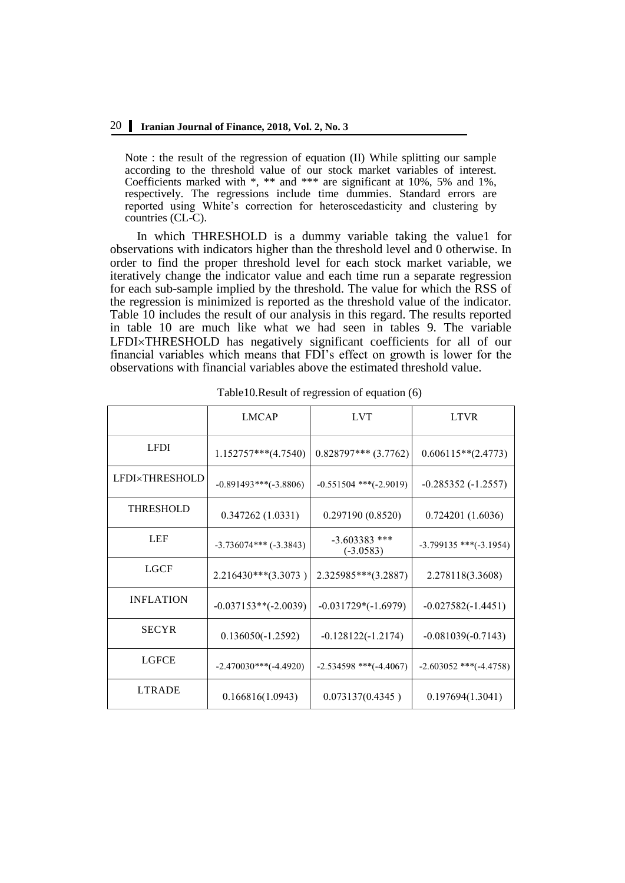Note : the result of the regression of equation (II) While splitting our sample according to the threshold value of our stock market variables of interest. Coefficients marked with \*, \*\* and \*\*\* are significant at 10%, 5% and 1%, respectively. The regressions include time dummies. Standard errors are reported using White's correction for heteroscedasticity and clustering by countries (CL-C).

In which THRESHOLD is a dummy variable taking the value1 for observations with indicators higher than the threshold level and 0 otherwise. In order to find the proper threshold level for each stock market variable, we iteratively change the indicator value and each time run a separate regression for each sub-sample implied by the threshold. The value for which the RSS of the regression is minimized is reported as the threshold value of the indicator. Table 10 includes the result of our analysis in this regard. The results reported in table 10 are much like what we had seen in tables 9. The variable LFDI×THRESHOLD has negatively significant coefficients for all of our financial variables which means that FDI's effect on growth is lower for the observations with financial variables above the estimated threshold value.

|                       | <b>LMCAP</b>               | <b>LVT</b>                     | <b>LTVR</b>                  |
|-----------------------|----------------------------|--------------------------------|------------------------------|
| <b>LFDI</b>           | $1.152757***(4.7540)$      | $0.828797***$ (3.7762)         | $0.606115**$ (2.4773)        |
| <b>LFDI×THRESHOLD</b> | $-0.891493***(-3.8806)$    | $-0.551504$ ***(-2.9019)       | $-0.285352(-1.2557)$         |
| <b>THRESHOLD</b>      | 0.347262(1.0331)           | 0.297190(0.8520)               | 0.724201(1.6036)             |
| LEF                   | $-3.736074***$ $(-3.3843)$ | $-3.603383$ ***<br>$(-3.0583)$ | $-3.799135$ ***( $-3.1954$ ) |
| <b>LGCF</b>           | $2.216430***$ (3.3073)     | $2.325985***(3.2887)$          | 2.278118(3.3608)             |
| <b>INFLATION</b>      | $-0.037153**(-2.0039)$     | $-0.031729*(-1.6979)$          | $-0.027582(-1.4451)$         |
| <b>SECYR</b>          | $0.136050(-1.2592)$        | $-0.128122(-1.2174)$           | $-0.081039(-0.7143)$         |
| <b>LGFCE</b>          | $-2.470030***(-4.4920)$    | $-2.534598$ ***( $-4.4067$ )   | $-2.603052$ ***( $-4.4758$ ) |
| <b>LTRADE</b>         | 0.166816(1.0943)           | 0.073137(0.4345)               | 0.197694(1.3041)             |

| Table 10. Result of regression of equation (6) |
|------------------------------------------------|
|------------------------------------------------|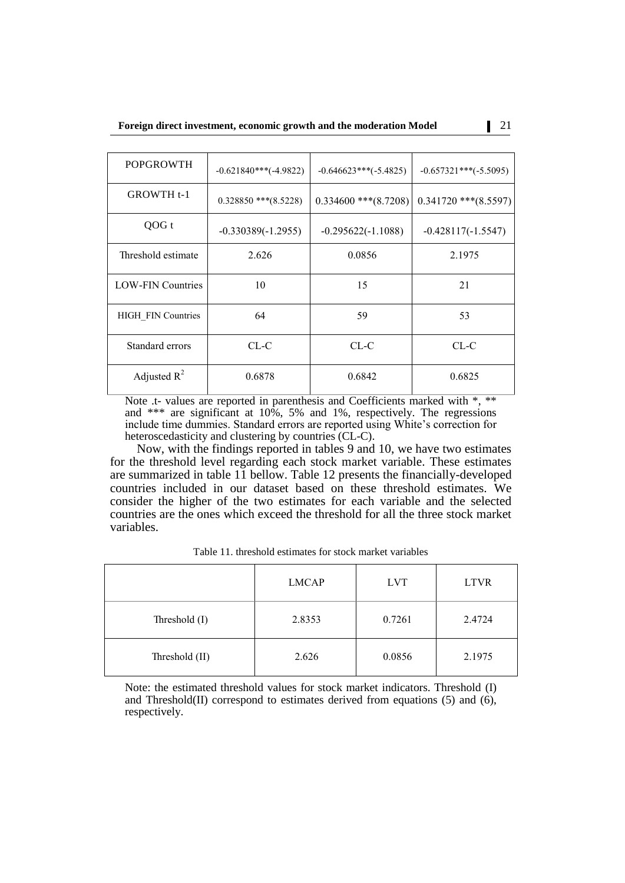| <b>POPGROWTH</b>          | $-0.621840***(-4.9822)$   | $-0.646623$ ***(-5.4825)  | $-0.657321***(-5.5095)$   |
|---------------------------|---------------------------|---------------------------|---------------------------|
| <b>GROWTH t-1</b>         | $0.328850$ *** $(8.5228)$ | $0.334600$ *** $(8.7208)$ | $0.341720$ *** $(8.5597)$ |
| OOG t                     | $-0.330389(-1.2955)$      | $-0.295622(-1.1088)$      | $-0.428117(-1.5547)$      |
| Threshold estimate        | 2.626                     | 0.0856                    | 2.1975                    |
| <b>LOW-FIN Countries</b>  | 10                        | 15                        | 21                        |
| <b>HIGH FIN Countries</b> | 64                        | 59                        | 53                        |
| Standard errors           | $CL-C$                    | CL-C                      | $CL-C$                    |
| Adjusted $R^2$            | 0.6878                    | 0.6842                    | 0.6825                    |

Note .t- values are reported in parenthesis and Coefficients marked with \*, \*\* and \*\*\* are significant at 10%, 5% and 1%, respectively. The regressions include time dummies. Standard errors are reported using White's correction for heteroscedasticity and clustering by countries (CL-C).

Now, with the findings reported in tables 9 and 10, we have two estimates for the threshold level regarding each stock market variable. These estimates are summarized in table 11 bellow. Table 12 presents the financially-developed countries included in our dataset based on these threshold estimates. We consider the higher of the two estimates for each variable and the selected countries are the ones which exceed the threshold for all the three stock market variables.

Table 11. threshold estimates for stock market variables

|                | <b>LMCAP</b> | <b>LVT</b> | <b>LTVR</b> |
|----------------|--------------|------------|-------------|
| Threshold (I)  | 2.8353       | 0.7261     | 2.4724      |
| Threshold (II) | 2.626        | 0.0856     | 2.1975      |

Note: the estimated threshold values for stock market indicators. Threshold (I) and Threshold(II) correspond to estimates derived from equations (5) and (6), respectively.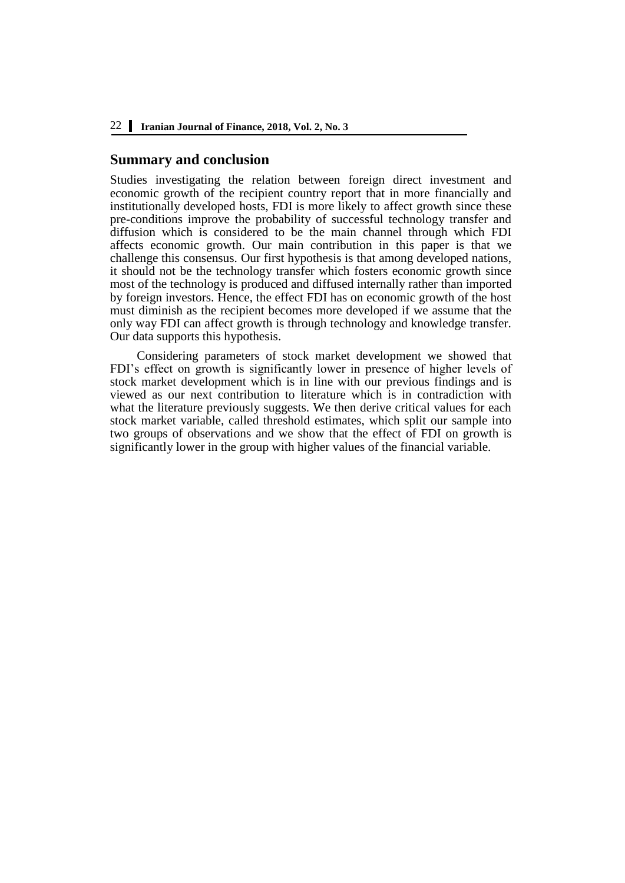#### **Summary and conclusion**

Studies investigating the relation between foreign direct investment and economic growth of the recipient country report that in more financially and institutionally developed hosts, FDI is more likely to affect growth since these pre-conditions improve the probability of successful technology transfer and diffusion which is considered to be the main channel through which FDI affects economic growth. Our main contribution in this paper is that we challenge this consensus. Our first hypothesis is that among developed nations, it should not be the technology transfer which fosters economic growth since most of the technology is produced and diffused internally rather than imported by foreign investors. Hence, the effect FDI has on economic growth of the host must diminish as the recipient becomes more developed if we assume that the only way FDI can affect growth is through technology and knowledge transfer. Our data supports this hypothesis.

Considering parameters of stock market development we showed that FDI's effect on growth is significantly lower in presence of higher levels of stock market development which is in line with our previous findings and is viewed as our next contribution to literature which is in contradiction with what the literature previously suggests. We then derive critical values for each stock market variable, called threshold estimates, which split our sample into two groups of observations and we show that the effect of FDI on growth is significantly lower in the group with higher values of the financial variable.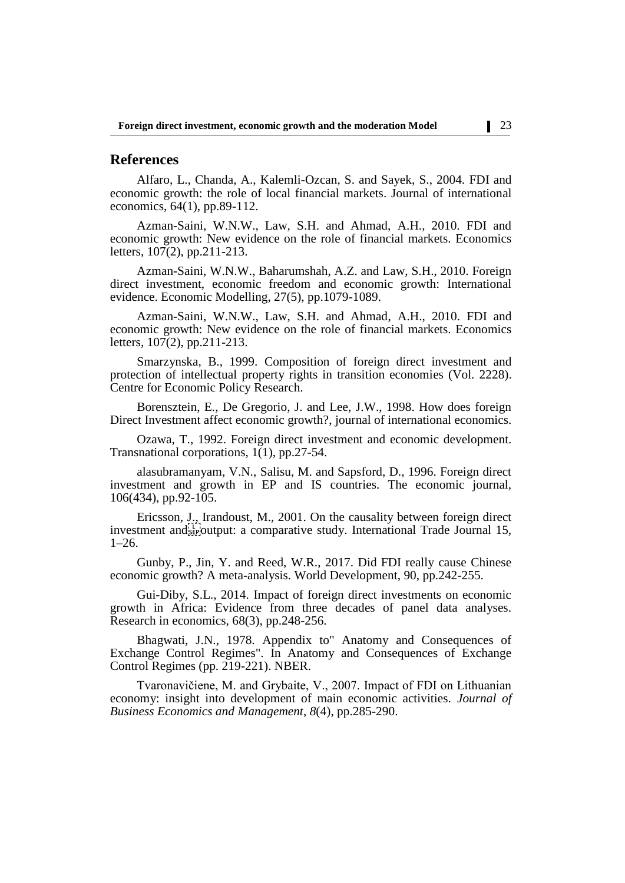## **References**

Alfaro, L., Chanda, A., Kalemli-Ozcan, S. and Sayek, S., 2004. FDI and economic growth: the role of local financial markets. Journal of international economics, 64(1), pp.89-112.

Azman-Saini, W.N.W., Law, S.H. and Ahmad, A.H., 2010. FDI and economic growth: New evidence on the role of financial markets. Economics letters, 107(2), pp.211-213.

Azman-Saini, W.N.W., Baharumshah, A.Z. and Law, S.H., 2010. Foreign direct investment, economic freedom and economic growth: International evidence. Economic Modelling, 27(5), pp.1079-1089.

Azman-Saini, W.N.W., Law, S.H. and Ahmad, A.H., 2010. FDI and economic growth: New evidence on the role of financial markets. Economics letters, 107(2), pp.211-213.

Smarzynska, B., 1999. Composition of foreign direct investment and protection of intellectual property rights in transition economies (Vol. 2228). Centre for Economic Policy Research.

Borensztein, E., De Gregorio, J. and Lee, J.W., 1998. How does foreign Direct Investment affect economic growth?, journal of international economics.

Ozawa, T., 1992. Foreign direct investment and economic development. Transnational corporations, 1(1), pp.27-54.

alasubramanyam, V.N., Salisu, M. and Sapsford, D., 1996. Foreign direct investment and growth in EP and IS countries. The economic journal, 106(434), pp.92-105.

Ericsson, J., Irandoust, M., 2001. On the causality between foreign direct investment and **strategies** comparative study. International Trade Journal 15, 1–26.

Gunby, P., Jin, Y. and Reed, W.R., 2017. Did FDI really cause Chinese economic growth? A meta-analysis. World Development, 90, pp.242-255.

Gui-Diby, S.L., 2014. Impact of foreign direct investments on economic growth in Africa: Evidence from three decades of panel data analyses. Research in economics, 68(3), pp.248-256.

Bhagwati, J.N., 1978. Appendix to" Anatomy and Consequences of Exchange Control Regimes". In Anatomy and Consequences of Exchange Control Regimes (pp. 219-221). NBER.

Tvaronavičiene, M. and Grybaite, V., 2007. Impact of FDI on Lithuanian economy: insight into development of main economic activities. *Journal of Business Economics and Management*, *8*(4), pp.285-290.